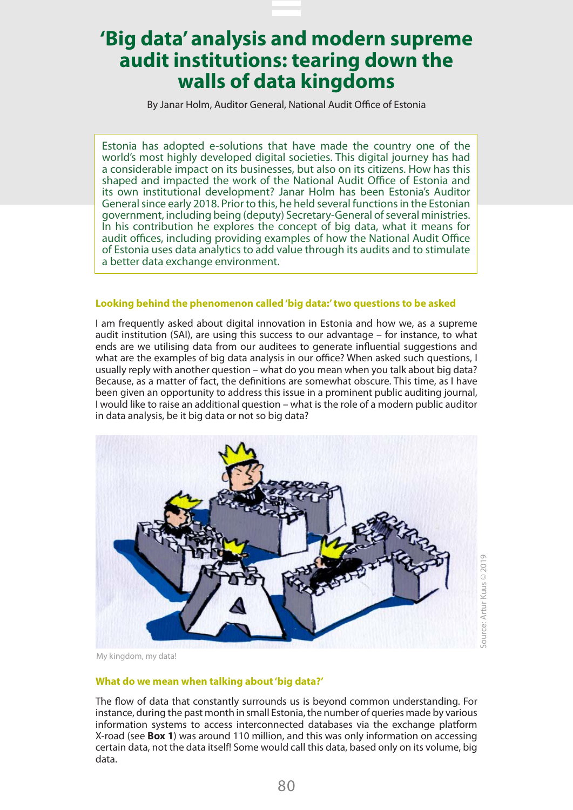By Janar Holm, Auditor General, National Audit Office of Estonia

Estonia has adopted e-solutions that have made the country one of the world's most highly developed digital societies. This digital journey has had a considerable impact on its businesses, but also on its citizens. How has this shaped and impacted the work of the National Audit Office of Estonia and its own institutional development? Janar Holm has been Estonia's Auditor General since early 2018. Prior to this, he held several functions in the Estonian government, including being (deputy) Secretary-General of several ministries. In his contribution he explores the concept of big data, what it means for audit offices, including providing examples of how the National Audit Office of Estonia uses data analytics to add value through its audits and to stimulate a better data exchange environment.

#### **Looking behind the phenomenon called 'big data:' two questions to be asked**

I am frequently asked about digital innovation in Estonia and how we, as a supreme audit institution (SAI), are using this success to our advantage – for instance, to what ends are we utilising data from our auditees to generate influential suggestions and what are the examples of big data analysis in our office? When asked such questions, I usually reply with another question – what do you mean when you talk about big data? Because, as a matter of fact, the definitions are somewhat obscure. This time, as I have been given an opportunity to address this issue in a prominent public auditing journal, I would like to raise an additional question – what is the role of a modern public auditor in data analysis, be it big data or not so big data?



My kingdom, my data!

### **What do we mean when talking about 'big data?'**

The flow of data that constantly surrounds us is beyond common understanding. For instance, during the past month in small Estonia, the number of queries made by various information systems to access interconnected databases via the exchange platform X-road (see **Box 1**) was around 110 million, and this was only information on accessing certain data, not the data itself! Some would call this data, based only on its volume, big data.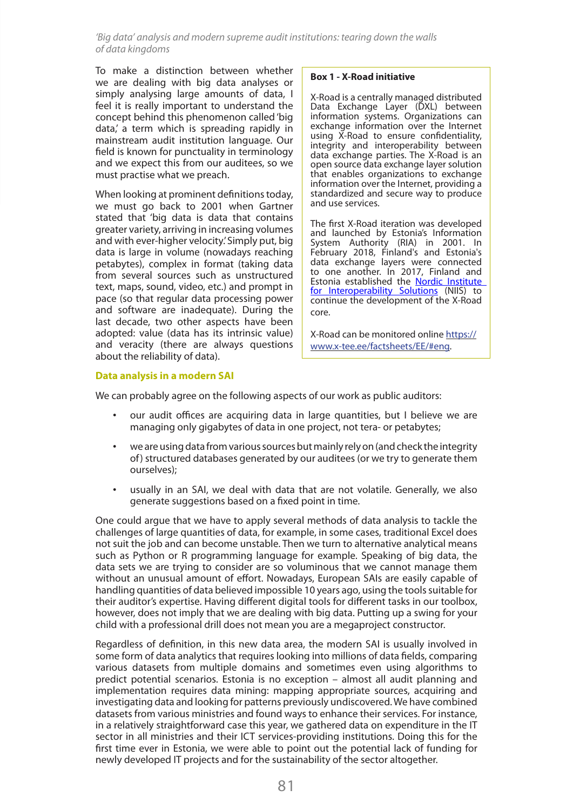To make a distinction between whether we are dealing with big data analyses or simply analysing large amounts of data, I feel it is really important to understand the concept behind this phenomenon called 'big data,' a term which is spreading rapidly in mainstream audit institution language. Our field is known for punctuality in terminology and we expect this from our auditees, so we must practise what we preach.

When looking at prominent definitions today, we must go back to 2001 when Gartner stated that 'big data is data that contains greater variety, arriving in increasing volumes and with ever-higher velocity.' Simply put, big data is large in volume (nowadays reaching petabytes), complex in format (taking data from several sources such as unstructured text, maps, sound, video, etc.) and prompt in pace (so that regular data processing power and software are inadequate). During the last decade, two other aspects have been adopted: value (data has its intrinsic value) and veracity (there are always questions about the reliability of data).

#### **Box 1 - X-Road initiative**

X-Road is a centrally managed distributed Data Exchange Layer (DXL) between information systems. Organizations can exchange information over the Internet using X-Road to ensure confidentiality, integrity and interoperability between data exchange parties. The X-Road is an open source data exchange layer solution that enables organizations to exchange information over the Internet, providing a standardized and secure way to produce and use services.

The first X-Road iteration was developed and launched by Estonia's Information System Authority (RIA) in 2001. In February 2018, Finland's and Estonia's data exchange layers were connected to one another. In 2017, Finland and Estonia established the Nordic Institute [for Interoperability Solutions](https://en.wikipedia.org/w/index.php?title=Nordic_Institute_for_Interoperability_Solutions&action=edit&redlink=1) (NIIS) to continue the development of the X-Road core.

X-Road can be monitored online [https://](https://www.x-tee.ee/factsheets/EE/#eng) [www.x-tee.ee/factsheets/EE/#eng](https://www.x-tee.ee/factsheets/EE/#eng).

### **Data analysis in a modern SAI**

We can probably agree on the following aspects of our work as public auditors:

- our audit offices are acquiring data in large quantities, but I believe we are managing only gigabytes of data in one project, not tera- or petabytes;
- we are using data from various sources but mainly rely on (and check the integrity of) structured databases generated by our auditees (or we try to generate them ourselves);
- usually in an SAI, we deal with data that are not volatile. Generally, we also generate suggestions based on a fixed point in time.

One could argue that we have to apply several methods of data analysis to tackle the challenges of large quantities of data, for example, in some cases, traditional Excel does not suit the job and can become unstable. Then we turn to alternative analytical means such as Python or R programming language for example. Speaking of big data, the data sets we are trying to consider are so voluminous that we cannot manage them without an unusual amount of effort. Nowadays, European SAIs are easily capable of handling quantities of data believed impossible 10 years ago, using the tools suitable for their auditor's expertise. Having different digital tools for different tasks in our toolbox, however, does not imply that we are dealing with big data. Putting up a swing for your child with a professional drill does not mean you are a megaproject constructor.

Regardless of definition, in this new data area, the modern SAI is usually involved in some form of data analytics that requires looking into millions of data fields, comparing various datasets from multiple domains and sometimes even using algorithms to predict potential scenarios. Estonia is no exception – almost all audit planning and implementation requires data mining: mapping appropriate sources, acquiring and investigating data and looking for patterns previously undiscovered. We have combined datasets from various ministries and found ways to enhance their services. For instance, in a relatively straightforward case this year, we gathered data on expenditure in the IT sector in all ministries and their ICT services-providing institutions. Doing this for the first time ever in Estonia, we were able to point out the potential lack of funding for newly developed IT projects and for the sustainability of the sector altogether.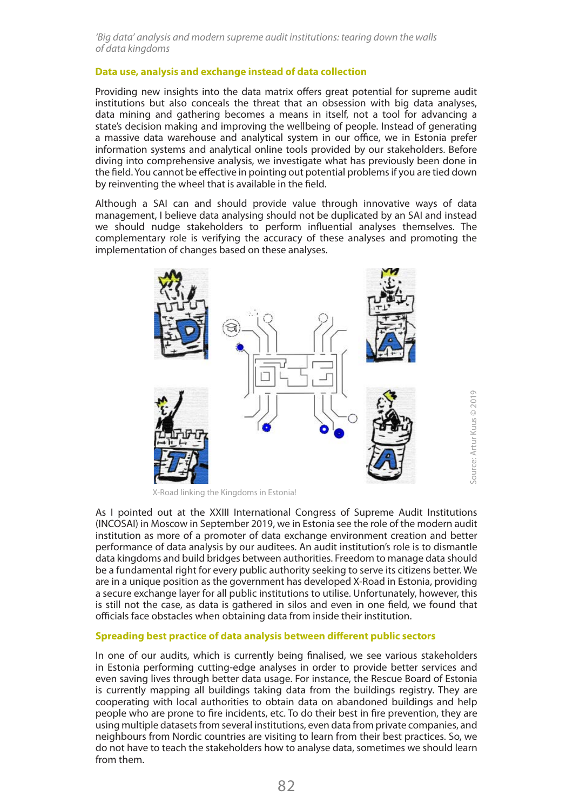### **Data use, analysis and exchange instead of data collection**

Providing new insights into the data matrix offers great potential for supreme audit institutions but also conceals the threat that an obsession with big data analyses, data mining and gathering becomes a means in itself, not a tool for advancing a state's decision making and improving the wellbeing of people. Instead of generating a massive data warehouse and analytical system in our office, we in Estonia prefer information systems and analytical online tools provided by our stakeholders. Before diving into comprehensive analysis, we investigate what has previously been done in the field. You cannot be effective in pointing out potential problems if you are tied down by reinventing the wheel that is available in the field.

Although a SAI can and should provide value through innovative ways of data management, I believe data analysing should not be duplicated by an SAI and instead we should nudge stakeholders to perform influential analyses themselves. The complementary role is verifying the accuracy of these analyses and promoting the implementation of changes based on these analyses.



X-Road linking the Kingdoms in Estonia!

As I pointed out at the XXIII International Congress of Supreme Audit Institutions (INCOSAI) in Moscow in September 2019, we in Estonia see the role of the modern audit institution as more of a promoter of data exchange environment creation and better performance of data analysis by our auditees. An audit institution's role is to dismantle data kingdoms and build bridges between authorities. Freedom to manage data should be a fundamental right for every public authority seeking to serve its citizens better. We are in a unique position as the government has developed X-Road in Estonia, providing a secure exchange layer for all public institutions to utilise. Unfortunately, however, this is still not the case, as data is gathered in silos and even in one field, we found that officials face obstacles when obtaining data from inside their institution.

### **Spreading best practice of data analysis between different public sectors**

In one of our audits, which is currently being finalised, we see various stakeholders in Estonia performing cutting-edge analyses in order to provide better services and even saving lives through better data usage. For instance, the Rescue Board of Estonia is currently mapping all buildings taking data from the buildings registry. They are cooperating with local authorities to obtain data on abandoned buildings and help people who are prone to fire incidents, etc. To do their best in fire prevention, they are using multiple datasets from several institutions, even data from private companies, and neighbours from Nordic countries are visiting to learn from their best practices. So, we do not have to teach the stakeholders how to analyse data, sometimes we should learn from them.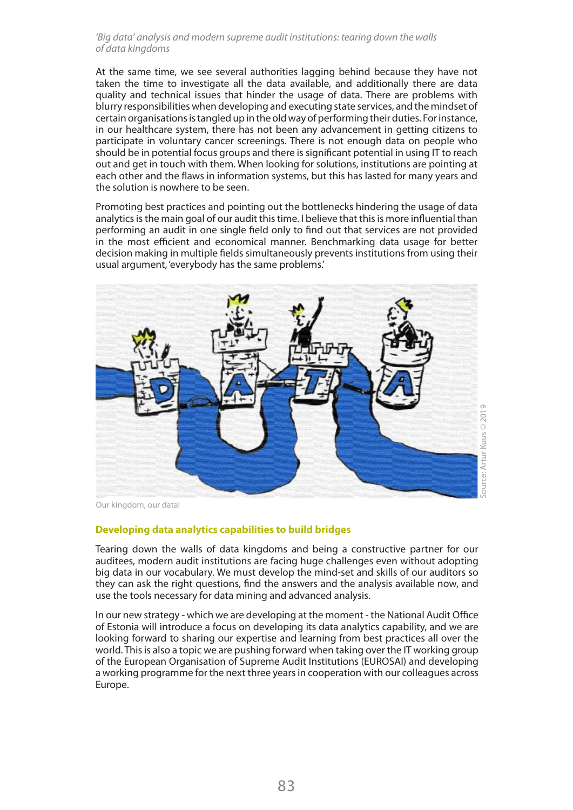At the same time, we see several authorities lagging behind because they have not taken the time to investigate all the data available, and additionally there are data quality and technical issues that hinder the usage of data. There are problems with blurry responsibilities when developing and executing state services, and the mindset of certain organisations is tangled up in the old way of performing their duties. For instance, in our healthcare system, there has not been any advancement in getting citizens to participate in voluntary cancer screenings. There is not enough data on people who should be in potential focus groups and there is significant potential in using IT to reach out and get in touch with them. When looking for solutions, institutions are pointing at each other and the flaws in information systems, but this has lasted for many years and the solution is nowhere to be seen.

Promoting best practices and pointing out the bottlenecks hindering the usage of data analytics is the main goal of our audit this time. I believe that this is more influential than performing an audit in one single field only to find out that services are not provided in the most efficient and economical manner. Benchmarking data usage for better decision making in multiple fields simultaneously prevents institutions from using their usual argument, 'everybody has the same problems.'



Our kingdom, our data!

## **Developing data analytics capabilities to build bridges**

Tearing down the walls of data kingdoms and being a constructive partner for our auditees, modern audit institutions are facing huge challenges even without adopting big data in our vocabulary. We must develop the mind-set and skills of our auditors so they can ask the right questions, find the answers and the analysis available now, and use the tools necessary for data mining and advanced analysis.

In our new strategy - which we are developing at the moment - the National Audit Office of Estonia will introduce a focus on developing its data analytics capability, and we are looking forward to sharing our expertise and learning from best practices all over the world. This is also a topic we are pushing forward when taking over the IT working group of the European Organisation of Supreme Audit Institutions (EUROSAI) and developing a working programme for the next three years in cooperation with our colleagues across Europe.